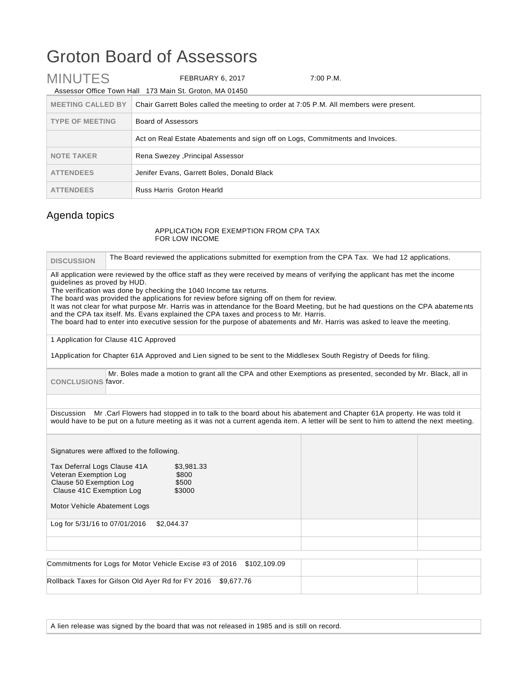## Groton Board of Assessors

| <b>MINUTES</b>           | FEBRUARY 6, 2017                                                              | 7:00 P.M.                                                                              |  |
|--------------------------|-------------------------------------------------------------------------------|----------------------------------------------------------------------------------------|--|
|                          | Assessor Office Town Hall 173 Main St. Groton, MA 01450                       |                                                                                        |  |
| <b>MEETING CALLED BY</b> |                                                                               | Chair Garrett Boles called the meeting to order at 7:05 P.M. All members were present. |  |
| <b>TYPE OF MEETING</b>   | Board of Assessors                                                            |                                                                                        |  |
|                          | Act on Real Estate Abatements and sign off on Logs, Commitments and Invoices. |                                                                                        |  |
| <b>NOTE TAKER</b>        | Rena Swezey , Principal Assessor                                              |                                                                                        |  |
| <b>ATTENDEES</b>         | Jenifer Evans, Garrett Boles, Donald Black                                    |                                                                                        |  |
| <b>ATTENDEES</b>         | Russ Harris Groton Hearld                                                     |                                                                                        |  |

## Agenda topics

## APPLICATION FOR EXEMPTION FROM CPA TAX FOR LOW INCOME

| <b>DISCUSSION</b>                                                                                            | The Board reviewed the applications submitted for exemption from the CPA Tax. We had 12 applications.                                                                                                                                                                                                                                                                                                                                                                                                                                                                                                                                                       |  |
|--------------------------------------------------------------------------------------------------------------|-------------------------------------------------------------------------------------------------------------------------------------------------------------------------------------------------------------------------------------------------------------------------------------------------------------------------------------------------------------------------------------------------------------------------------------------------------------------------------------------------------------------------------------------------------------------------------------------------------------------------------------------------------------|--|
| guidelines as proved by HUD.                                                                                 | All application were reviewed by the office staff as they were received by means of verifying the applicant has met the income<br>The verification was done by checking the 1040 Income tax returns.<br>The board was provided the applications for review before signing off on them for review.<br>It was not clear for what purpose Mr. Harris was in attendance for the Board Meeting, but he had questions on the CPA abatements<br>and the CPA tax itself. Ms. Evans explained the CPA taxes and process to Mr. Harris.<br>The board had to enter into executive session for the purpose of abatements and Mr. Harris was asked to leave the meeting. |  |
|                                                                                                              | 1 Application for Clause 41C Approved                                                                                                                                                                                                                                                                                                                                                                                                                                                                                                                                                                                                                       |  |
|                                                                                                              | 1Application for Chapter 61A Approved and Lien signed to be sent to the Middlesex South Registry of Deeds for filing.                                                                                                                                                                                                                                                                                                                                                                                                                                                                                                                                       |  |
| <b>CONCLUSIONS favor.</b>                                                                                    | Mr. Boles made a motion to grant all the CPA and other Exemptions as presented, seconded by Mr. Black, all in                                                                                                                                                                                                                                                                                                                                                                                                                                                                                                                                               |  |
|                                                                                                              |                                                                                                                                                                                                                                                                                                                                                                                                                                                                                                                                                                                                                                                             |  |
|                                                                                                              | Discussion Mr. Carl Flowers had stopped in to talk to the board about his abatement and Chapter 61A property. He was told it<br>would have to be put on a future meeting as it was not a current agenda item. A letter will be sent to him to attend the next meeting.                                                                                                                                                                                                                                                                                                                                                                                      |  |
|                                                                                                              | Signatures were affixed to the following.                                                                                                                                                                                                                                                                                                                                                                                                                                                                                                                                                                                                                   |  |
| Tax Deferral Logs Clause 41A<br>Veteran Exemption Log<br>Clause 50 Exemption Log<br>Clause 41C Exemption Log | \$3,981.33<br>\$800<br>\$500<br>\$3000                                                                                                                                                                                                                                                                                                                                                                                                                                                                                                                                                                                                                      |  |
| Motor Vehicle Abatement Logs                                                                                 |                                                                                                                                                                                                                                                                                                                                                                                                                                                                                                                                                                                                                                                             |  |
| Log for 5/31/16 to 07/01/2016                                                                                | \$2,044.37                                                                                                                                                                                                                                                                                                                                                                                                                                                                                                                                                                                                                                                  |  |
|                                                                                                              |                                                                                                                                                                                                                                                                                                                                                                                                                                                                                                                                                                                                                                                             |  |
|                                                                                                              | Commitments for Logs for Motor Vehicle Excise #3 of 2016<br>\$102,109.09                                                                                                                                                                                                                                                                                                                                                                                                                                                                                                                                                                                    |  |
| Rollback Taxes for Gilson Old Ayer Rd for FY 2016<br>\$9,677.76                                              |                                                                                                                                                                                                                                                                                                                                                                                                                                                                                                                                                                                                                                                             |  |

A lien release was signed by the board that was not released in 1985 and is still on record.